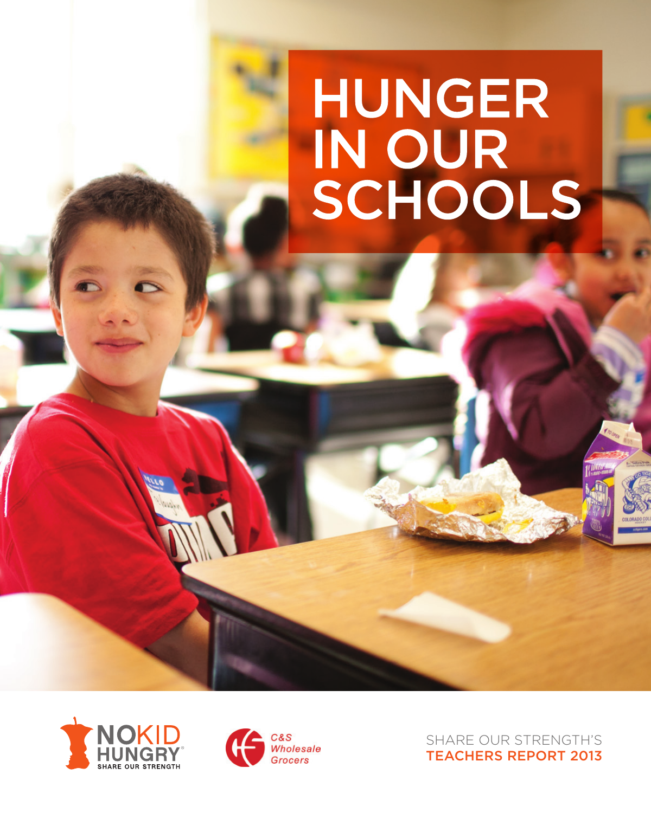# **HUNGER** IN OUR<br>SCHOOLS





SHARE OUR STRENGTH'S TEACHERS REPORT 2013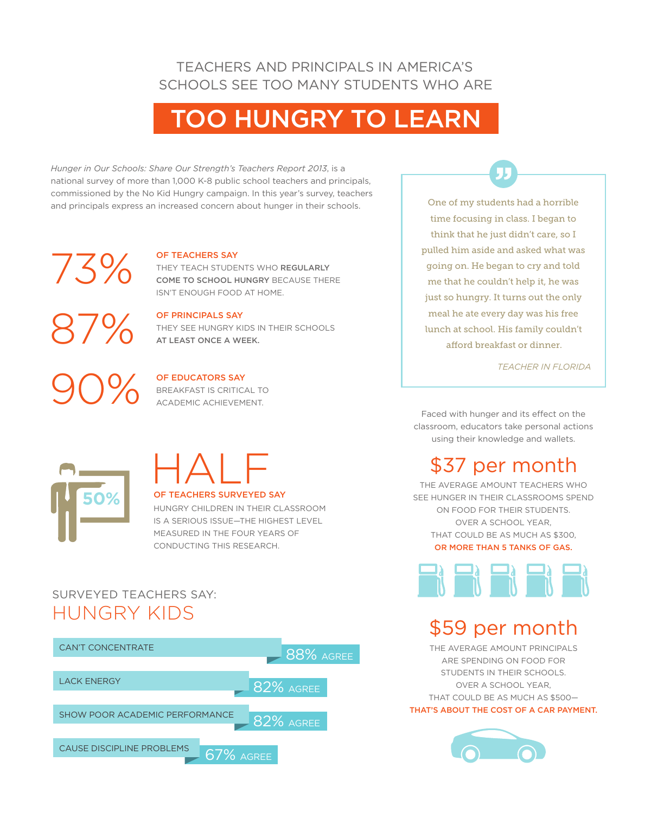### TEACHERS AND PRINCIPALS IN AMERICA'S SCHOOLS SEE TOO MANY STUDENTS WHO ARE

# TOO HUNGRY TO LEARN

*Hunger in Our Schools: Share Our Strength's Teachers Report 2013*, is a national survey of more than 1,000 K-8 public school teachers and principals, commissioned by the No Kid Hungry campaign. In this year's survey, teachers and principals express an increased concern about hunger in their schools.

#### OF TEACHERS SAY

OF PRINCIPALS SAY

THEY TEACH STUDENTS WHO REGULARLY COME TO SCHOOL HUNGRY BECAUSE THERE ISN'T ENOUGH FOOD AT HOME.

THEY SEE HUNGRY KIDS IN THEIR SCHOOLS

87% 90%

73%

#### OF EDUCATORS SAY

AT LEAST ONCE A WEEK.

BREAKFAST IS CRITICAL TO ACADEMIC ACHIEVEMENT.

# HALF

#### **OF TEACHERS SURVEYED SAY**

HUNGRY CHILDREN IN THEIR CLASSROOM IS A SERIOUS ISSUE—THE HIGHEST LEVEL MEASURED IN THE FOUR YEARS OF CONDUCTING THIS RESEARCH.

## SURVEYED TEACHERS SAY: HUNGRY KIDS



One of my students had a horrible time focusing in class. I began to think that he just didn't care, so I pulled him aside and asked what was going on. He began to cry and told me that he couldn't help it, he was just so hungry. It turns out the only meal he ate every day was his free lunch at school. His family couldn't afford breakfast or dinner.

*TEACHER IN FLORIDA*

Faced with hunger and its effect on the classroom, educators take personal actions using their knowledge and wallets.

# \$37 per month

THE AVERAGE AMOUNT TEACHERS WHO SEE HUNGER IN THEIR CLASSROOMS SPEND ON FOOD FOR THEIR STUDENTS. OVER A SCHOOL YEAR, THAT COULD BE AS MUCH AS \$300, OR MORE THAN 5 TANKS OF GAS.



# \$59 per month

THE AVERAGE AMOUNT PRINCIPALS ARE SPENDING ON FOOD FOR STUDENTS IN THEIR SCHOOLS. OVER A SCHOOL YEAR, THAT COULD BE AS MUCH AS \$500—

THAT'S ABOUT THE COST OF A CAR PAYMENT.

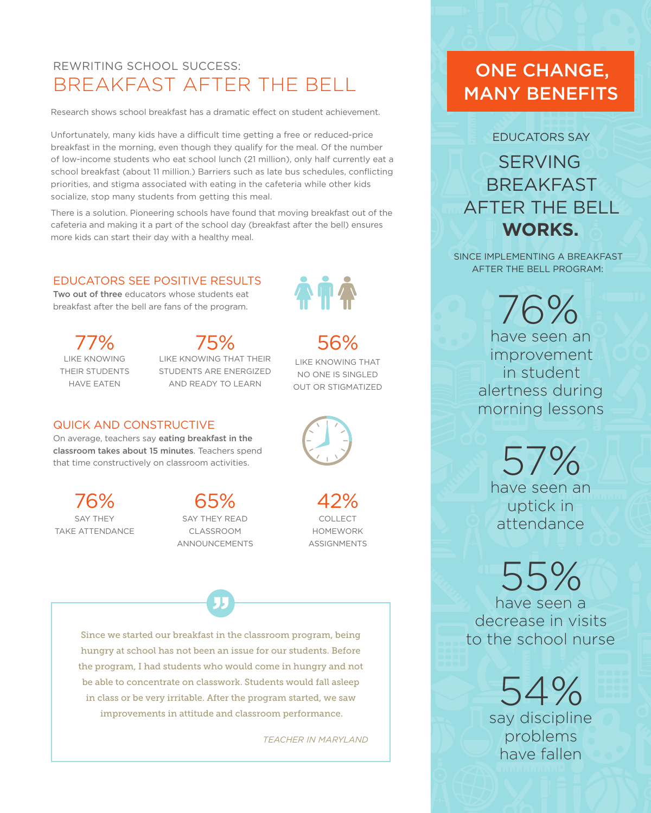## REWRITING SCHOOL SUCCESS: BREAKFAST AFTER THE BELL

Research shows school breakfast has a dramatic effect on student achievement.

Unfortunately, many kids have a difficult time getting a free or reduced-price breakfast in the morning, even though they qualify for the meal. Of the number of low-income students who eat school lunch (21 million), only half currently eat a school breakfast (about 11 million.) Barriers such as late bus schedules, conflicting priorities, and stigma associated with eating in the cafeteria while other kids socialize, stop many students from getting this meal.

There is a solution. Pioneering schools have found that moving breakfast out of the cafeteria and making it a part of the school day (breakfast after the bell) ensures more kids can start their day with a healthy meal.

#### EDUCATORS SEE POSITIVE RESULTS

Two out of three educators whose students eat breakfast after the bell are fans of the program.

LIKE KNOWING THEIR STUDENTS HAVE EATEN 77%

#### LIKE KNOWING THAT THEIR STUDENTS ARE ENERGIZED AND READY TO LEARN 75% 56%

#### QUICK AND CONSTRUCTIVE

On average, teachers say eating breakfast in the classroom takes about 15 minutes. Teachers spend that time constructively on classroom activities.

SAY THEY TAKE ATTENDANCE 76%

#### SAY THEY READ CLASSROOM ANNOUNCEMENTS  $65%$

COLLECT HOMEWORK ASSIGNMENTS

LIKE KNOWING THAT NO ONE IS SINGLED OUT OR STIGMATIZED

Since we started our breakfast in the classroom program, being hungry at school has not been an issue for our students. Before the program, I had students who would come in hungry and not be able to concentrate on classwork. Students would fall asleep in class or be very irritable. After the program started, we saw improvements in attitude and classroom performance.

*TEACHER IN MARYLAND*

# ONE CHANGE, MANY BENEFITS

EDUCATORS SAY

SERVING BREAKFAST AFTER THE BELL **WORKS.**

SINCE IMPLEMENTING A BREAKFAST AFTER THE BELL PROGRAM:

> 76% have seen an improvement in student alertness during morning lessons

> > 57% have seen an uptick in attendance

# 55%

have seen a decrease in visits to the school nurse

54%

say discipline problems have fallen